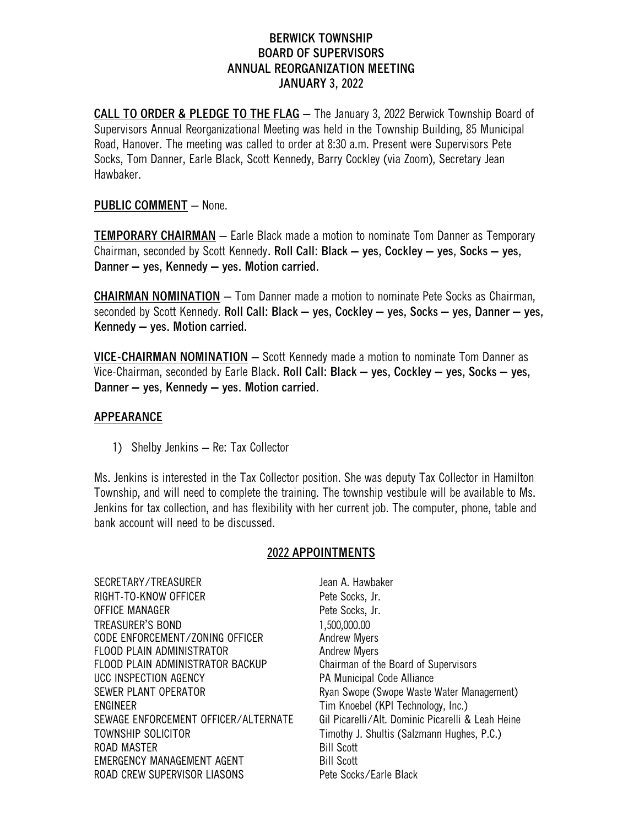# **BERWICK TOWNSHIP BOARD OF SUPERVISORS ANNUAL REORGANIZATION MEETING JANUARY 3, 2022**

**CALL TO ORDER & PLEDGE TO THE FLAG** – The January 3, 2022 Berwick Township Board of Supervisors Annual Reorganizational Meeting was held in the Township Building, 85 Municipal Road, Hanover. The meeting was called to order at 8:30 a.m. Present were Supervisors Pete Socks, Tom Danner, Earle Black, Scott Kennedy, Barry Cockley (via Zoom), Secretary Jean Hawbaker.

## **PUBLIC COMMENT** – None.

**TEMPORARY CHAIRMAN** – Earle Black made a motion to nominate Tom Danner as Temporary Chairman, seconded by Scott Kennedy**. Roll Call: Black – yes, Cockley – yes, Socks – yes, Danner – yes, Kennedy – yes. Motion carried.**

**CHAIRMAN NOMINATION** – Tom Danner made a motion to nominate Pete Socks as Chairman, seconded by Scott Kennedy. **Roll Call: Black – yes, Cockley – yes, Socks – yes, Danner – yes, Kennedy – yes. Motion carried.**

**VICE-CHAIRMAN NOMINATION** – Scott Kennedy made a motion to nominate Tom Danner as Vice-Chairman, seconded by Earle Black**. Roll Call: Black – yes, Cockley – yes, Socks – yes, Danner – yes, Kennedy – yes. Motion carried.**

## **APPEARANCE**

1) Shelby Jenkins – Re: Tax Collector

Ms. Jenkins is interested in the Tax Collector position. She was deputy Tax Collector in Hamilton Township, and will need to complete the training. The township vestibule will be available to Ms. Jenkins for tax collection, and has flexibility with her current job. The computer, phone, table and bank account will need to be discussed.

#### **2022 APPOINTMENTS**

SECRETARY/TREASURER Jean A. Hawbaker RIGHT-TO-KNOW OFFICER Pete Socks, Jr. OFFICE MANAGER **Pete Socks**, Jr. TREASURER'S BOND 1.500,000.00 CODE ENFORCEMENT/ZONING OFFICER Andrew Myers FLOOD PLAIN ADMINISTRATOR FLOOD PLAIN ADMINISTRATOR FLOOD PLAIN ADMINISTRATOR BACKUP Chairman of the Board of Supervisors UCC INSPECTION AGENCY **PA Municipal Code Alliance** SEWER PLANT OPERATOR **Ryan Swope (Swope Waste Water Management)** ENGINEER Tim Knoebel (KPI Technology, Inc.) SEWAGE ENFORCEMENT OFFICER/ALTERNATE Gil Picarelli/Alt. Dominic Picarelli & Leah Heine TOWNSHIP SOLICITOR TIMOTO TIMOTHY J. Shultis (Salzmann Hughes, P.C.) ROAD MASTER Bill Scott EMERGENCY MANAGEMENT AGENT BILL Scott ROAD CREW SUPERVISOR LIASONS Pete Socks/Earle Black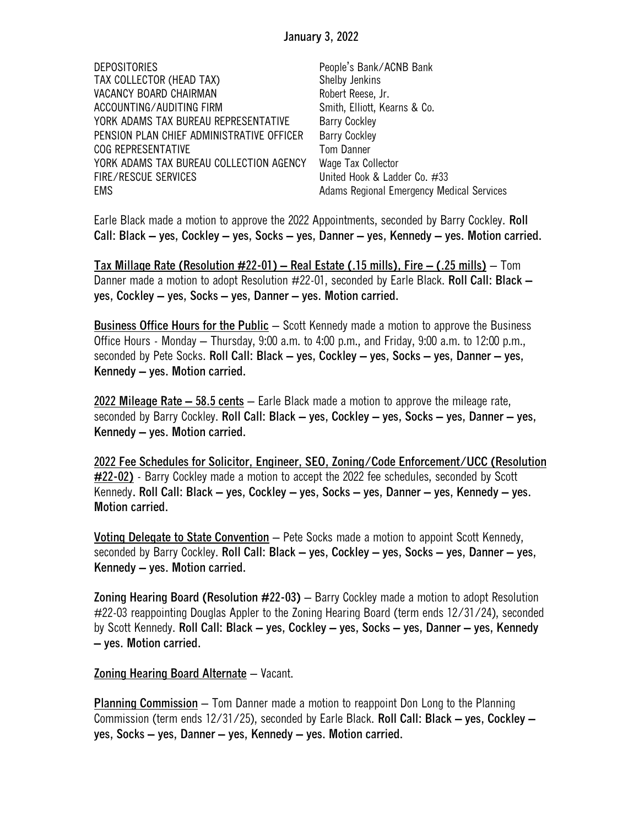| <b>DEPOSITORIES</b>                       | People's Bank/ACNB Bank                   |
|-------------------------------------------|-------------------------------------------|
| TAX COLLECTOR (HEAD TAX)                  | Shelby Jenkins                            |
| VACANCY BOARD CHAIRMAN                    | Robert Reese, Jr.                         |
| ACCOUNTING/AUDITING FIRM                  | Smith, Elliott, Kearns & Co.              |
| YORK ADAMS TAX BUREAU REPRESENTATIVE      | <b>Barry Cockley</b>                      |
| PENSION PLAN CHIEF ADMINISTRATIVE OFFICER | <b>Barry Cockley</b>                      |
| COG REPRESENTATIVE                        | <b>Tom Danner</b>                         |
| YORK ADAMS TAX BUREAU COLLECTION AGENCY   | Wage Tax Collector                        |
| FIRE/RESCUE SERVICES                      | United Hook & Ladder Co. #33              |
| <b>EMS</b>                                | Adams Regional Emergency Medical Services |

Earle Black made a motion to approve the 2022 Appointments, seconded by Barry Cockley. **Roll Call: Black – yes, Cockley – yes, Socks – yes, Danner – yes, Kennedy – yes. Motion carried.**

**Tax Millage Rate (Resolution #22-01) – Real Estate (.15 mills), Fire – (.25 mills)** – Tom Danner made a motion to adopt Resolution #22-01, seconded by Earle Black. **Roll Call: Black – yes, Cockley – yes, Socks – yes, Danner – yes. Motion carried.**

**Business Office Hours for the Public** – Scott Kennedy made a motion to approve the Business Office Hours - Monday – Thursday, 9:00 a.m. to 4:00 p.m., and Friday, 9:00 a.m. to 12:00 p.m., seconded by Pete Socks. **Roll Call: Black – yes, Cockley – yes, Socks – yes, Danner – yes, Kennedy – yes. Motion carried.**

**2022 Mileage Rate – 58.5 cents** – Earle Black made a motion to approve the mileage rate, seconded by Barry Cockley. **Roll Call: Black – yes, Cockley – yes, Socks – yes, Danner – yes, Kennedy – yes. Motion carried.**

**2022 Fee Schedules for Solicitor, Engineer, SEO, Zoning/Code Enforcement/UCC (Resolution #22-02)** - Barry Cockley made a motion to accept the 2022 fee schedules, seconded by Scott Kennedy**. Roll Call: Black – yes, Cockley – yes, Socks – yes, Danner – yes, Kennedy – yes. Motion carried.**

**Voting Delegate to State Convention** – Pete Socks made a motion to appoint Scott Kennedy, seconded by Barry Cockley. **Roll Call: Black – yes, Cockley – yes, Socks – yes, Danner – yes, Kennedy – yes. Motion carried.**

**Zoning Hearing Board (Resolution #22-03)** – Barry Cockley made a motion to adopt Resolution #22-03 reappointing Douglas Appler to the Zoning Hearing Board (term ends 12/31/24), seconded by Scott Kennedy. **Roll Call: Black – yes, Cockley – yes, Socks – yes, Danner – yes, Kennedy – yes. Motion carried.**

**Zoning Hearing Board Alternate** – Vacant.

**Planning Commission** – Tom Danner made a motion to reappoint Don Long to the Planning Commission (term ends 12/31/25), seconded by Earle Black. **Roll Call: Black – yes, Cockley – yes, Socks – yes, Danner – yes, Kennedy – yes. Motion carried.**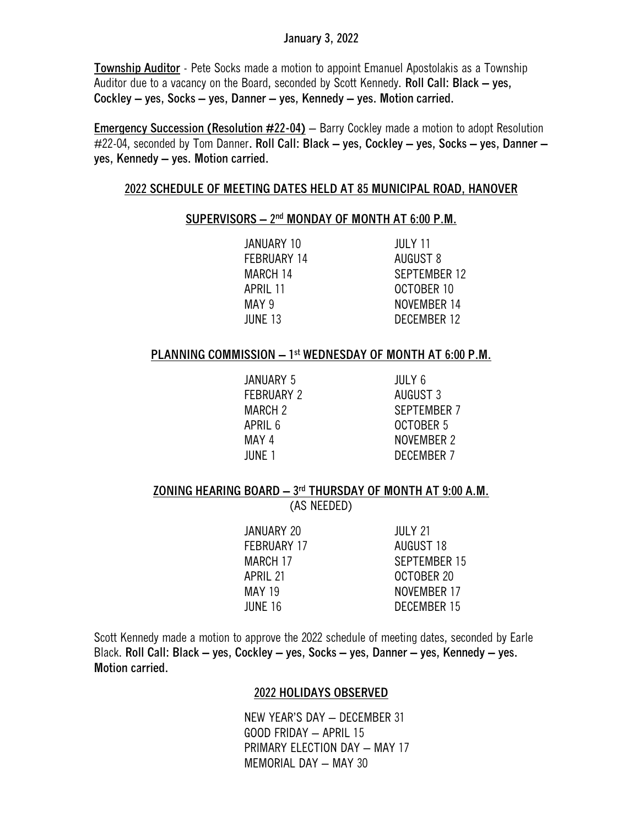## **January 3, 2022**

**Township Auditor** - Pete Socks made a motion to appoint Emanuel Apostolakis as a Township Auditor due to a vacancy on the Board, seconded by Scott Kennedy. **Roll Call: Black – yes, Cockley – yes, Socks – yes, Danner – yes, Kennedy – yes. Motion carried.**

**Emergency Succession (Resolution #22-04)** – Barry Cockley made a motion to adopt Resolution #22-04, seconded by Tom Danner**. Roll Call: Black – yes, Cockley – yes, Socks – yes, Danner – yes, Kennedy – yes. Motion carried.** 

#### **2022 SCHEDULE OF MEETING DATES HELD AT 85 MUNICIPAL ROAD, HANOVER**

# **SUPERVISORS – 2 nd MONDAY OF MONTH AT 6:00 P.M.**

| JANUARY 10         | JULY 11      |
|--------------------|--------------|
| <b>FEBRUARY 14</b> | AUGUST 8     |
| MARCH 14           | SEPTEMBER 12 |
| APRIL 11           | OCTOBER 10   |
| MAY 9              | NOVEMBER 14  |
| JUNE 13            | DECEMBER 12  |

### **PLANNING COMMISSION – 1 st WEDNESDAY OF MONTH AT 6:00 P.M.**

JANUARY 5 JULY 6 FEBRUARY 2 AUGUST 3

MARCH 2 SEPTEMBER 7 APRIL 6 OCTOBER 5 MAY 4 NOVEMBER 2 JUNE 1 DECEMBER 7

# **ZONING HEARING BOARD – 3 rd THURSDAY OF MONTH AT 9:00 A.M.**

(AS NEEDED)

| JANUARY 20         | <b>JULY 21</b>      |
|--------------------|---------------------|
| <b>FEBRUARY 17</b> | AUGUST 18           |
| MARCH 17           | <b>SEPTEMBER 15</b> |
| APRIL 21           | OCTOBER 20          |
| <b>MAY 19</b>      | NOVEMBER 17         |
| JUNE 16            | DECEMBER 15         |
|                    |                     |

Scott Kennedy made a motion to approve the 2022 schedule of meeting dates, seconded by Earle Black. **Roll Call: Black – yes, Cockley – yes, Socks – yes, Danner – yes, Kennedy – yes. Motion carried.**

#### **2022 HOLIDAYS OBSERVED**

NEW YEAR'S DAY – DECEMBER 31 GOOD FRIDAY – APRIL 15 PRIMARY ELECTION DAY – MAY 17 MEMORIAL DAY – MAY 30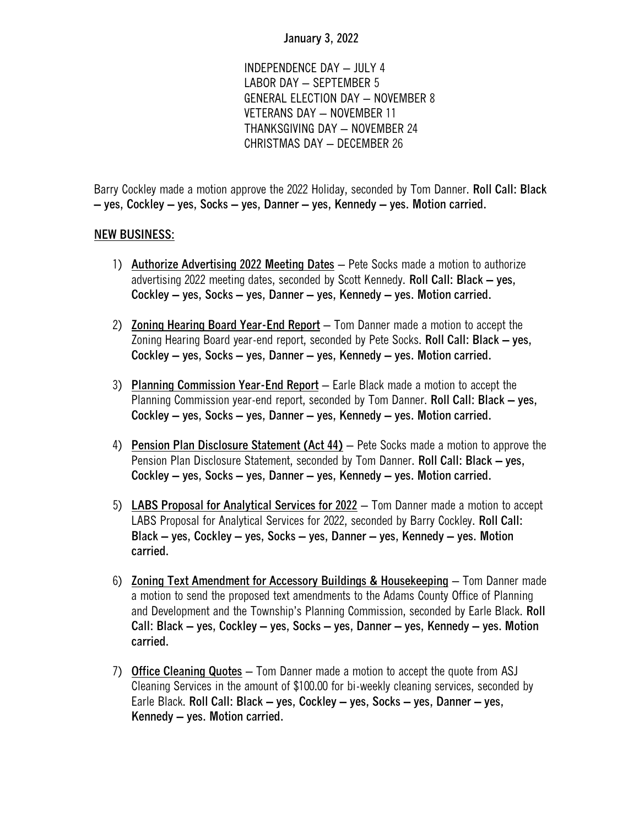# **January 3, 2022**

INDEPENDENCE DAY – JULY 4 LABOR DAY – SEPTEMBER 5 GENERAL ELECTION DAY – NOVEMBER 8 VETERANS DAY – NOVEMBER 11 THANKSGIVING DAY – NOVEMBER 24 CHRISTMAS DAY – DECEMBER 26

Barry Cockley made a motion approve the 2022 Holiday, seconded by Tom Danner. **Roll Call: Black – yes, Cockley – yes, Socks – yes, Danner – yes, Kennedy – yes. Motion carried.**

## **NEW BUSINESS:**

- 1) **Authorize Advertising 2022 Meeting Dates** Pete Socks made a motion to authorize advertising 2022 meeting dates, seconded by Scott Kennedy. **Roll Call: Black – yes, Cockley – yes, Socks – yes, Danner – yes, Kennedy – yes. Motion carried.**
- 2) **Zoning Hearing Board Year-End Report** Tom Danner made a motion to accept the Zoning Hearing Board year-end report, seconded by Pete Socks. **Roll Call: Black – yes, Cockley – yes, Socks – yes, Danner – yes, Kennedy – yes. Motion carried.**
- 3) **Planning Commission Year-End Report** Earle Black made a motion to accept the Planning Commission year-end report, seconded by Tom Danner. **Roll Call: Black – yes, Cockley – yes, Socks – yes, Danner – yes, Kennedy – yes. Motion carried.**
- 4) **Pension Plan Disclosure Statement (Act 44)** Pete Socks made a motion to approve the Pension Plan Disclosure Statement, seconded by Tom Danner. **Roll Call: Black – yes, Cockley – yes, Socks – yes, Danner – yes, Kennedy – yes. Motion carried.**
- 5) **LABS Proposal for Analytical Services for 2022** Tom Danner made a motion to accept LABS Proposal for Analytical Services for 2022, seconded by Barry Cockley. **Roll Call: Black – yes, Cockley – yes, Socks – yes, Danner – yes, Kennedy – yes. Motion carried.**
- 6) **Zoning Text Amendment for Accessory Buildings & Housekeeping** Tom Danner made a motion to send the proposed text amendments to the Adams County Office of Planning and Development and the Township's Planning Commission, seconded by Earle Black. **Roll Call: Black – yes, Cockley – yes, Socks – yes, Danner – yes, Kennedy – yes. Motion carried.**
- 7) **Office Cleaning Quotes** Tom Danner made a motion to accept the quote from ASJ Cleaning Services in the amount of \$100.00 for bi-weekly cleaning services, seconded by Earle Black. **Roll Call: Black – yes, Cockley – yes, Socks – yes, Danner – yes, Kennedy – yes. Motion carried.**